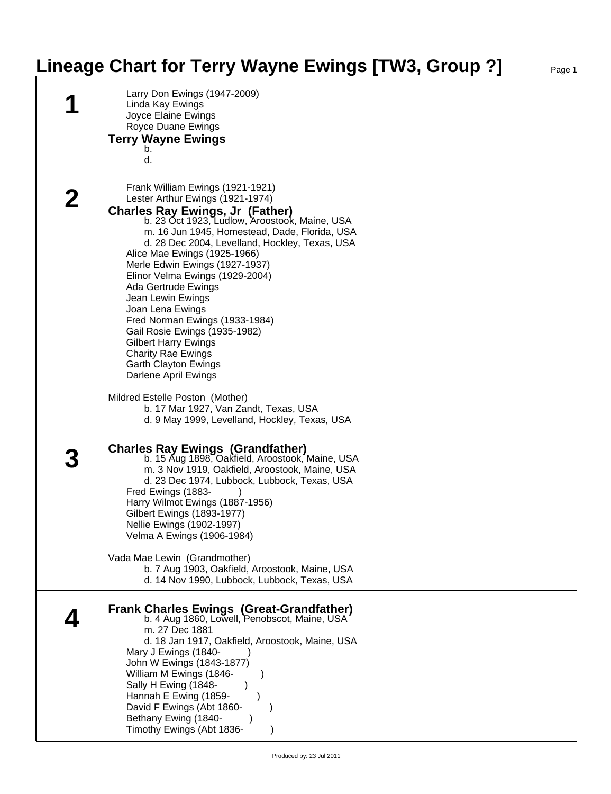## **Lineage Chart for Terry Wayne Ewings [TW3, Group ?]** Page 1

| Larry Don Ewings (1947-2009)<br>Linda Kay Ewings<br>Joyce Elaine Ewings<br>Royce Duane Ewings<br><b>Terry Wayne Ewings</b><br>d.                                                                                                                                                                                                                                                                                                                                                                                                                                                                                              |  |
|-------------------------------------------------------------------------------------------------------------------------------------------------------------------------------------------------------------------------------------------------------------------------------------------------------------------------------------------------------------------------------------------------------------------------------------------------------------------------------------------------------------------------------------------------------------------------------------------------------------------------------|--|
| Frank William Ewings (1921-1921)<br>Lester Arthur Ewings (1921-1974)<br><b>Charles Ray Ewings, Jr (Father)</b><br>b. 23 Oct 1923, Ludlow, Aroostook, Maine, USA<br>m. 16 Jun 1945, Homestead, Dade, Florida, USA<br>d. 28 Dec 2004, Levelland, Hockley, Texas, USA<br>Alice Mae Ewings (1925-1966)<br>Merle Edwin Ewings (1927-1937)<br>Elinor Velma Ewings (1929-2004)<br>Ada Gertrude Ewings<br>Jean Lewin Ewings<br>Joan Lena Ewings<br>Fred Norman Ewings (1933-1984)<br>Gail Rosie Ewings (1935-1982)<br><b>Gilbert Harry Ewings</b><br><b>Charity Rae Ewings</b><br><b>Garth Clayton Ewings</b><br>Darlene April Ewings |  |
| Mildred Estelle Poston (Mother)<br>b. 17 Mar 1927, Van Zandt, Texas, USA<br>d. 9 May 1999, Levelland, Hockley, Texas, USA                                                                                                                                                                                                                                                                                                                                                                                                                                                                                                     |  |
| <b>Charles Ray Ewings (Grandfather)</b><br>b. 15 Aug 1898, Oakfield, Aroostook, Maine, USA<br>m. 3 Nov 1919, Oakfield, Aroostook, Maine, USA<br>d. 23 Dec 1974, Lubbock, Lubbock, Texas, USA<br>Fred Ewings (1883-<br>Harry Wilmot Ewings (1887-1956)<br>Gilbert Ewings (1893-1977)<br>Nellie Ewings (1902-1997)<br>Velma A Ewings (1906-1984)<br>Vada Mae Lewin (Grandmother)                                                                                                                                                                                                                                                |  |
| b. 7 Aug 1903, Oakfield, Aroostook, Maine, USA<br>d. 14 Nov 1990, Lubbock, Lubbock, Texas, USA                                                                                                                                                                                                                                                                                                                                                                                                                                                                                                                                |  |
| <b>Frank Charles Ewings (Great-Grandfather)</b><br>b. 4 Aug 1860, Lowell, Penobscot, Maine, USA<br>m. 27 Dec 1881<br>d. 18 Jan 1917, Oakfield, Aroostook, Maine, USA<br>Mary J Ewings (1840-<br>John W Ewings (1843-1877)<br>William M Ewings (1846-<br>Sally H Ewing (1848-<br>Hannah E Ewing (1859-<br>David F Ewings (Abt 1860-<br>Bethany Ewing (1840-<br>Timothy Ewings (Abt 1836-                                                                                                                                                                                                                                       |  |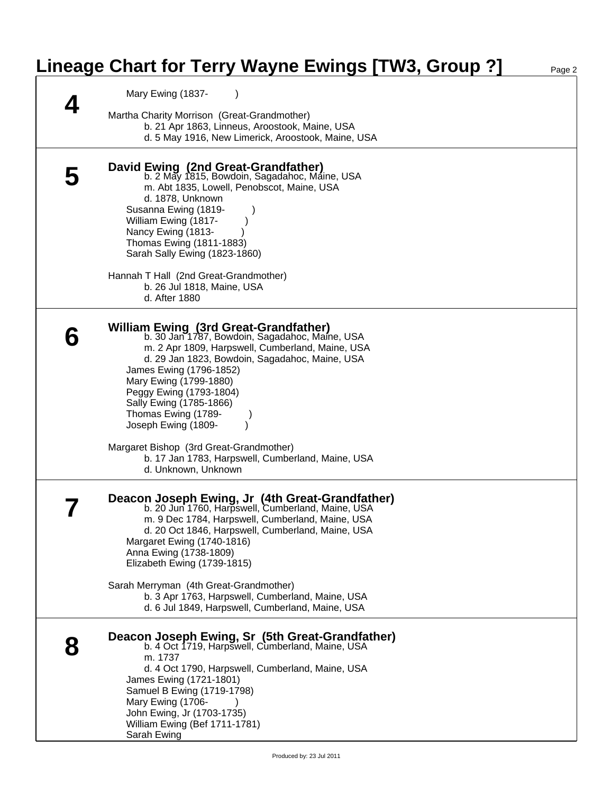## **Lineage Chart for Terry Wayne Ewings [TW3, Group ?]** Page 2

| Mary Ewing (1837-                                                                                                                                                                                                                                                                                                                                                                                                                                                             |
|-------------------------------------------------------------------------------------------------------------------------------------------------------------------------------------------------------------------------------------------------------------------------------------------------------------------------------------------------------------------------------------------------------------------------------------------------------------------------------|
| Martha Charity Morrison (Great-Grandmother)<br>b. 21 Apr 1863, Linneus, Aroostook, Maine, USA<br>d. 5 May 1916, New Limerick, Aroostook, Maine, USA                                                                                                                                                                                                                                                                                                                           |
| David Ewing (2nd Great-Grandfather)<br>b. 2 May 1815, Bowdoin, Sagadahoc, Máine, USA<br>m. Abt 1835, Lowell, Penobscot, Maine, USA<br>d. 1878, Unknown<br>Susanna Ewing (1819-<br>William Ewing (1817-<br>Nancy Ewing (1813-<br>Thomas Ewing (1811-1883)<br>Sarah Sally Ewing (1823-1860)<br>Hannah T Hall (2nd Great-Grandmother)<br>b. 26 Jul 1818, Maine, USA<br>d. After 1880                                                                                             |
| William Ewing (3rd Great-Grandfather)<br>b. 30 Jan 1787, Bowdoin, Sagadahoc, Maine, USA<br>m. 2 Apr 1809, Harpswell, Cumberland, Maine, USA<br>d. 29 Jan 1823, Bowdoin, Sagadahoc, Maine, USA<br>James Ewing (1796-1852)<br>Mary Ewing (1799-1880)<br>Peggy Ewing (1793-1804)<br>Sally Ewing (1785-1866)<br>Thomas Ewing (1789-<br>Joseph Ewing (1809-<br>Margaret Bishop (3rd Great-Grandmother)<br>b. 17 Jan 1783, Harpswell, Cumberland, Maine, USA<br>d. Unknown, Unknown |
| Deacon Joseph Ewing, Jr (4th Great-Grandfather)<br>b. 20 Jun 1760, Harpswell, Cumberland, Maine, USA<br>m. 9 Dec 1784, Harpswell, Cumberland, Maine, USA<br>d. 20 Oct 1846, Harpswell, Cumberland, Maine, USA<br>Margaret Ewing (1740-1816)<br>Anna Ewing (1738-1809)<br>Elizabeth Ewing (1739-1815)<br>Sarah Merryman (4th Great-Grandmother)<br>b. 3 Apr 1763, Harpswell, Cumberland, Maine, USA<br>d. 6 Jul 1849, Harpswell, Cumberland, Maine, USA                        |
| Deacon Joseph Ewing, Sr (5th Great-Grandfather)<br>b. 4 Oct 1719, Harpswell, Cumberland, Maine, USA<br>m. 1737<br>d. 4 Oct 1790, Harpswell, Cumberland, Maine, USA<br>James Ewing (1721-1801)<br>Samuel B Ewing (1719-1798)<br>Mary Ewing (1706-<br>John Ewing, Jr (1703-1735)<br>William Ewing (Bef 1711-1781)<br>Sarah Ewing                                                                                                                                                |